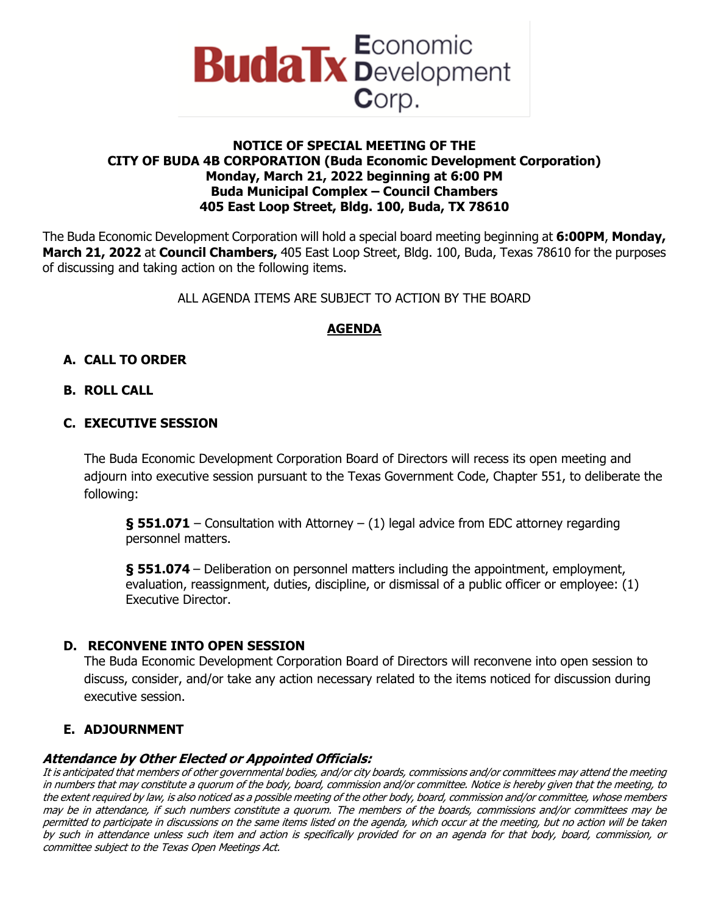

### **NOTICE OF SPECIAL MEETING OF THE CITY OF BUDA 4B CORPORATION (Buda Economic Development Corporation) Monday, March 21, 2022 beginning at 6:00 PM Buda Municipal Complex – Council Chambers 405 East Loop Street, Bldg. 100, Buda, TX 78610**

The Buda Economic Development Corporation will hold a special board meeting beginning at **6:00PM**, **Monday, March 21, 2022** at **Council Chambers,** 405 East Loop Street, Bldg. 100, Buda, Texas 78610 for the purposes of discussing and taking action on the following items.

ALL AGENDA ITEMS ARE SUBJECT TO ACTION BY THE BOARD

# **AGENDA**

# **A. CALL TO ORDER**

### **B. ROLL CALL**

### **C. EXECUTIVE SESSION**

The Buda Economic Development Corporation Board of Directors will recess its open meeting and adjourn into executive session pursuant to the Texas Government Code, Chapter 551, to deliberate the following:

**§ 551.071** – Consultation with Attorney – (1) legal advice from EDC attorney regarding personnel matters.

**§ 551.074** – Deliberation on personnel matters including the appointment, employment, evaluation, reassignment, duties, discipline, or dismissal of a public officer or employee: (1) Executive Director.

## **D. RECONVENE INTO OPEN SESSION**

The Buda Economic Development Corporation Board of Directors will reconvene into open session to discuss, consider, and/or take any action necessary related to the items noticed for discussion during executive session.

## **E. ADJOURNMENT**

#### **Attendance by Other Elected or Appointed Officials:**

It is anticipated that members of other governmental bodies, and/or city boards, commissions and/or committees may attend the meeting in numbers that may constitute a quorum of the body, board, commission and/or committee. Notice is hereby given that the meeting, to the extent required by law, is also noticed as a possible meeting of the other body, board, commission and/or committee, whose members may be in attendance, if such numbers constitute a quorum. The members of the boards, commissions and/or committees may be permitted to participate in discussions on the same items listed on the agenda, which occur at the meeting, but no action will be taken by such in attendance unless such item and action is specifically provided for on an agenda for that body, board, commission, or committee subject to the Texas Open Meetings Act.